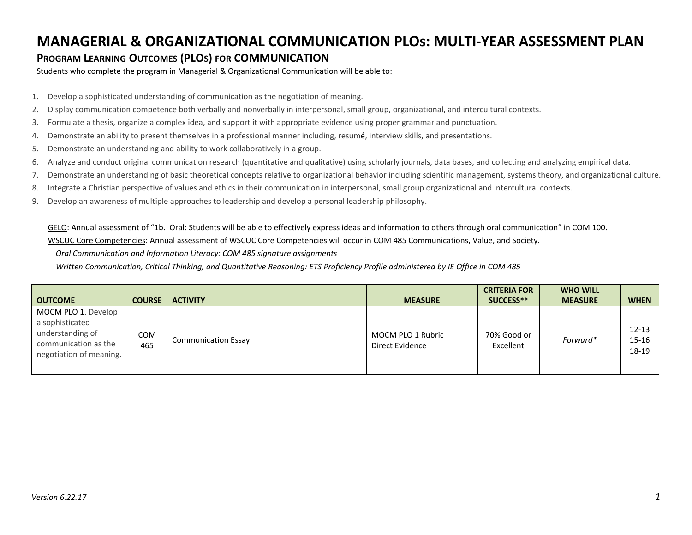## **MANAGERIAL & ORGANIZATIONAL COMMUNICATION PLOs: MULTI-YEAR ASSESSMENT PLAN**

## **PROGRAM LEARNING OUTCOMES (PLOS) FOR COMMUNICATION**

Students who complete the program in Managerial & Organizational Communication will be able to:

- 1. Develop a sophisticated understanding of communication as the negotiation of meaning.
- 2. Display communication competence both verbally and nonverbally in interpersonal, small group, organizational, and intercultural contexts.
- 3. Formulate a thesis, organize a complex idea, and support it with appropriate evidence using proper grammar and punctuation.
- 4. Demonstrate an ability to present themselves in a professional manner including, resumé, interview skills, and presentations.
- 5. Demonstrate an understanding and ability to work collaboratively in a group.
- 6. Analyze and conduct original communication research (quantitative and qualitative) using scholarly journals, data bases, and collecting and analyzing empirical data.
- 7. Demonstrate an understanding of basic theoretical concepts relative to organizational behavior including scientific management, systems theory, and organizational culture.
- 8. Integrate a Christian perspective of values and ethics in their communication in interpersonal, small group organizational and intercultural contexts.
- 9. Develop an awareness of multiple approaches to leadership and develop a personal leadership philosophy.

GELO: Annual assessment of "1b. Oral: Students will be able to effectively express ideas and information to others through oral communication" in COM 100.

WSCUC Core Competencies: Annual assessment of WSCUC Core Competencies will occur in COM 485 Communications, Value, and Society.

 *Oral Communication and Information Literacy: COM 485 signature assignments*

 *Written Communication, Critical Thinking, and Quantitative Reasoning: ETS Proficiency Profile administered by IE Office in COM 485*

| <b>OUTCOME</b>                                                                                                | <b>COURSE</b> | <b>ACTIVITY</b>            | <b>MEASURE</b>                       | <b>CRITERIA FOR</b><br>SUCCESS** | <b>WHO WILL</b><br><b>MEASURE</b> | <b>WHEN</b>             |
|---------------------------------------------------------------------------------------------------------------|---------------|----------------------------|--------------------------------------|----------------------------------|-----------------------------------|-------------------------|
| MOCM PLO 1. Develop<br>a sophisticated<br>understanding of<br>communication as the<br>negotiation of meaning. | COM<br>465    | <b>Communication Essay</b> | MOCM PLO 1 Rubric<br>Direct Evidence | 70% Good or<br>Excellent         | Forward*                          | 12-13<br>15-16<br>18-19 |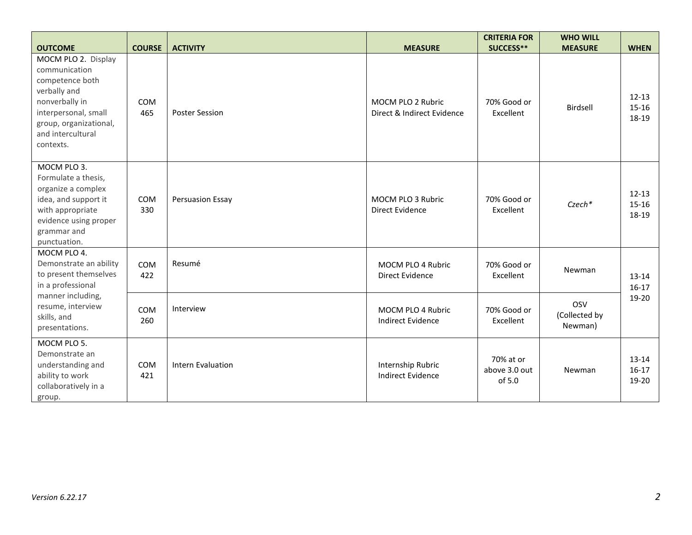|                                                                                                                                                                               |                   |                          |                                                 | <b>CRITERIA FOR</b>                  | <b>WHO WILL</b>                 |                                 |
|-------------------------------------------------------------------------------------------------------------------------------------------------------------------------------|-------------------|--------------------------|-------------------------------------------------|--------------------------------------|---------------------------------|---------------------------------|
| <b>OUTCOME</b>                                                                                                                                                                | <b>COURSE</b>     | <b>ACTIVITY</b>          | <b>MEASURE</b>                                  | SUCCESS**                            | <b>MEASURE</b>                  | <b>WHEN</b>                     |
| MOCM PLO 2. Display<br>communication<br>competence both<br>verbally and<br>nonverbally in<br>interpersonal, small<br>group, organizational,<br>and intercultural<br>contexts. | <b>COM</b><br>465 | <b>Poster Session</b>    | MOCM PLO 2 Rubric<br>Direct & Indirect Evidence | 70% Good or<br>Excellent             | Birdsell                        | $12 - 13$<br>$15 - 16$<br>18-19 |
| MOCM PLO 3.<br>Formulate a thesis,<br>organize a complex<br>idea, and support it<br>with appropriate<br>evidence using proper<br>grammar and<br>punctuation.                  | <b>COM</b><br>330 | Persuasion Essay         | MOCM PLO 3 Rubric<br><b>Direct Evidence</b>     | 70% Good or<br>Excellent             | Czech*                          | $12 - 13$<br>$15-16$<br>18-19   |
| MOCM PLO 4.<br>Demonstrate an ability<br>to present themselves<br>in a professional<br>manner including,<br>resume, interview<br>skills, and<br>presentations.                | COM<br>422        | Resumé                   | MOCM PLO 4 Rubric<br><b>Direct Evidence</b>     | 70% Good or<br>Excellent             | Newman                          | 13-14<br>$16-17$                |
|                                                                                                                                                                               | <b>COM</b><br>260 | Interview                | MOCM PLO 4 Rubric<br><b>Indirect Evidence</b>   | 70% Good or<br>Excellent             | OSV<br>(Collected by<br>Newman) | 19-20                           |
| MOCM PLO 5.<br>Demonstrate an<br>understanding and<br>ability to work<br>collaboratively in a<br>group.                                                                       | <b>COM</b><br>421 | <b>Intern Evaluation</b> | Internship Rubric<br><b>Indirect Evidence</b>   | 70% at or<br>above 3.0 out<br>of 5.0 | Newman                          | 13-14<br>$16-17$<br>19-20       |